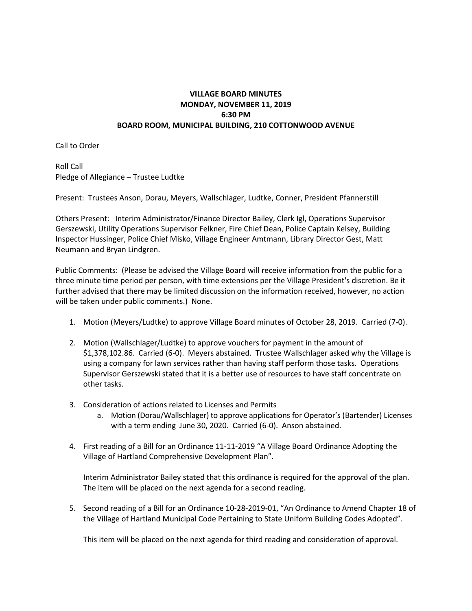## **VILLAGE BOARD MINUTES MONDAY, NOVEMBER 11, 2019 6:30 PM BOARD ROOM, MUNICIPAL BUILDING, 210 COTTONWOOD AVENUE**

Call to Order

Roll Call Pledge of Allegiance – Trustee Ludtke

Present: Trustees Anson, Dorau, Meyers, Wallschlager, Ludtke, Conner, President Pfannerstill

Others Present: Interim Administrator/Finance Director Bailey, Clerk Igl, Operations Supervisor Gerszewski, Utility Operations Supervisor Felkner, Fire Chief Dean, Police Captain Kelsey, Building Inspector Hussinger, Police Chief Misko, Village Engineer Amtmann, Library Director Gest, Matt Neumann and Bryan Lindgren.

Public Comments: (Please be advised the Village Board will receive information from the public for a three minute time period per person, with time extensions per the Village President's discretion. Be it further advised that there may be limited discussion on the information received, however, no action will be taken under public comments.) None.

- 1. Motion (Meyers/Ludtke) to approve Village Board minutes of October 28, 2019. Carried (7-0).
- 2. Motion (Wallschlager/Ludtke) to approve vouchers for payment in the amount of \$1,378,102.86. Carried (6-0). Meyers abstained. Trustee Wallschlager asked why the Village is using a company for lawn services rather than having staff perform those tasks. Operations Supervisor Gerszewski stated that it is a better use of resources to have staff concentrate on other tasks.
- 3. Consideration of actions related to Licenses and Permits
	- a. Motion (Dorau/Wallschlager) to approve applications for Operator's (Bartender) Licenses with a term ending June 30, 2020. Carried (6-0). Anson abstained.
- 4. First reading of a Bill for an Ordinance 11-11-2019 "A Village Board Ordinance Adopting the Village of Hartland Comprehensive Development Plan".

Interim Administrator Bailey stated that this ordinance is required for the approval of the plan. The item will be placed on the next agenda for a second reading.

5. Second reading of a Bill for an Ordinance 10-28-2019-01, "An Ordinance to Amend Chapter 18 of the Village of Hartland Municipal Code Pertaining to State Uniform Building Codes Adopted".

This item will be placed on the next agenda for third reading and consideration of approval.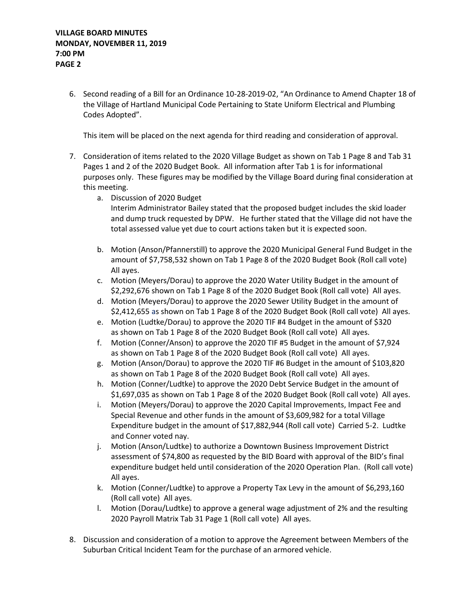6. Second reading of a Bill for an Ordinance 10-28-2019-02, "An Ordinance to Amend Chapter 18 of the Village of Hartland Municipal Code Pertaining to State Uniform Electrical and Plumbing Codes Adopted".

This item will be placed on the next agenda for third reading and consideration of approval.

- 7. Consideration of items related to the 2020 Village Budget as shown on Tab 1 Page 8 and Tab 31 Pages 1 and 2 of the 2020 Budget Book. All information after Tab 1 is for informational purposes only. These figures may be modified by the Village Board during final consideration at this meeting.
	- a. Discussion of 2020 Budget Interim Administrator Bailey stated that the proposed budget includes the skid loader and dump truck requested by DPW. He further stated that the Village did not have the total assessed value yet due to court actions taken but it is expected soon.
	- b. Motion (Anson/Pfannerstill) to approve the 2020 Municipal General Fund Budget in the amount of \$7,758,532 shown on Tab 1 Page 8 of the 2020 Budget Book (Roll call vote) All ayes.
	- c. Motion (Meyers/Dorau) to approve the 2020 Water Utility Budget in the amount of \$2,292,676 shown on Tab 1 Page 8 of the 2020 Budget Book (Roll call vote) All ayes.
	- d. Motion (Meyers/Dorau) to approve the 2020 Sewer Utility Budget in the amount of \$2,412,655 as shown on Tab 1 Page 8 of the 2020 Budget Book (Roll call vote) All ayes.
	- e. Motion (Ludtke/Dorau) to approve the 2020 TIF #4 Budget in the amount of \$320 as shown on Tab 1 Page 8 of the 2020 Budget Book (Roll call vote) All ayes.
	- f. Motion (Conner/Anson) to approve the 2020 TIF #5 Budget in the amount of \$7,924 as shown on Tab 1 Page 8 of the 2020 Budget Book (Roll call vote) All ayes.
	- g. Motion (Anson/Dorau) to approve the 2020 TIF #6 Budget in the amount of \$103,820 as shown on Tab 1 Page 8 of the 2020 Budget Book (Roll call vote) All ayes.
	- h. Motion (Conner/Ludtke) to approve the 2020 Debt Service Budget in the amount of \$1,697,035 as shown on Tab 1 Page 8 of the 2020 Budget Book (Roll call vote) All ayes.
	- i. Motion (Meyers/Dorau) to approve the 2020 Capital Improvements, Impact Fee and Special Revenue and other funds in the amount of \$3,609,982 for a total Village Expenditure budget in the amount of \$17,882,944 (Roll call vote) Carried 5-2. Ludtke and Conner voted nay.
	- j. Motion (Anson/Ludtke) to authorize a Downtown Business Improvement District assessment of \$74,800 as requested by the BID Board with approval of the BID's final expenditure budget held until consideration of the 2020 Operation Plan. (Roll call vote) All ayes.
	- k. Motion (Conner/Ludtke) to approve a Property Tax Levy in the amount of \$6,293,160 (Roll call vote) All ayes.
	- l. Motion (Dorau/Ludtke) to approve a general wage adjustment of 2% and the resulting 2020 Payroll Matrix Tab 31 Page 1 (Roll call vote) All ayes.
- 8. Discussion and consideration of a motion to approve the Agreement between Members of the Suburban Critical Incident Team for the purchase of an armored vehicle.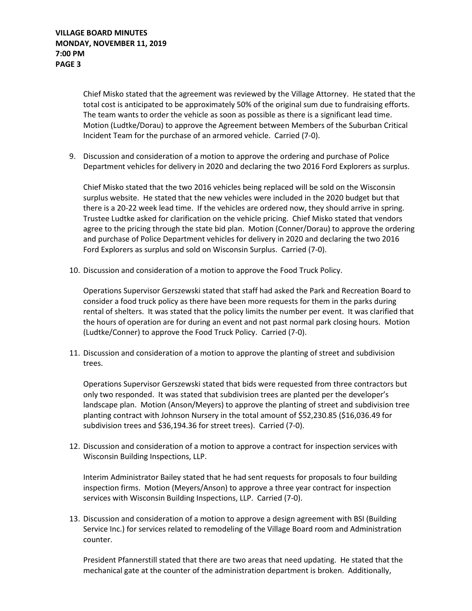Chief Misko stated that the agreement was reviewed by the Village Attorney. He stated that the total cost is anticipated to be approximately 50% of the original sum due to fundraising efforts. The team wants to order the vehicle as soon as possible as there is a significant lead time. Motion (Ludtke/Dorau) to approve the Agreement between Members of the Suburban Critical Incident Team for the purchase of an armored vehicle. Carried (7-0).

9. Discussion and consideration of a motion to approve the ordering and purchase of Police Department vehicles for delivery in 2020 and declaring the two 2016 Ford Explorers as surplus.

Chief Misko stated that the two 2016 vehicles being replaced will be sold on the Wisconsin surplus website. He stated that the new vehicles were included in the 2020 budget but that there is a 20-22 week lead time. If the vehicles are ordered now, they should arrive in spring. Trustee Ludtke asked for clarification on the vehicle pricing. Chief Misko stated that vendors agree to the pricing through the state bid plan. Motion (Conner/Dorau) to approve the ordering and purchase of Police Department vehicles for delivery in 2020 and declaring the two 2016 Ford Explorers as surplus and sold on Wisconsin Surplus. Carried (7-0).

10. Discussion and consideration of a motion to approve the Food Truck Policy.

Operations Supervisor Gerszewski stated that staff had asked the Park and Recreation Board to consider a food truck policy as there have been more requests for them in the parks during rental of shelters. It was stated that the policy limits the number per event. It was clarified that the hours of operation are for during an event and not past normal park closing hours. Motion (Ludtke/Conner) to approve the Food Truck Policy. Carried (7-0).

11. Discussion and consideration of a motion to approve the planting of street and subdivision trees.

Operations Supervisor Gerszewski stated that bids were requested from three contractors but only two responded. It was stated that subdivision trees are planted per the developer's landscape plan. Motion (Anson/Meyers) to approve the planting of street and subdivision tree planting contract with Johnson Nursery in the total amount of \$52,230.85 (\$16,036.49 for subdivision trees and \$36,194.36 for street trees). Carried (7-0).

12. Discussion and consideration of a motion to approve a contract for inspection services with Wisconsin Building Inspections, LLP.

Interim Administrator Bailey stated that he had sent requests for proposals to four building inspection firms. Motion (Meyers/Anson) to approve a three year contract for inspection services with Wisconsin Building Inspections, LLP. Carried (7-0).

13. Discussion and consideration of a motion to approve a design agreement with BSI (Building Service Inc.) for services related to remodeling of the Village Board room and Administration counter.

President Pfannerstill stated that there are two areas that need updating. He stated that the mechanical gate at the counter of the administration department is broken. Additionally,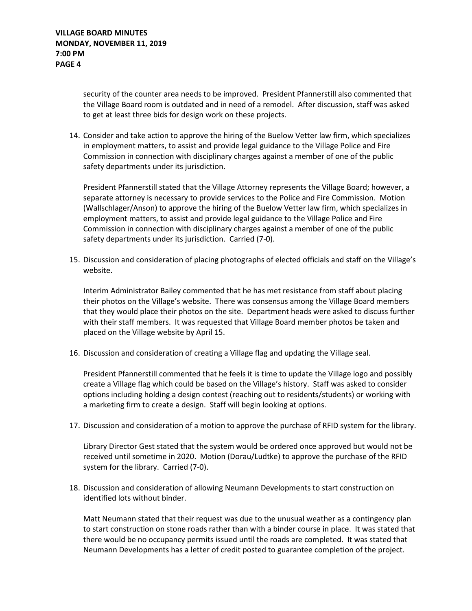security of the counter area needs to be improved. President Pfannerstill also commented that the Village Board room is outdated and in need of a remodel. After discussion, staff was asked to get at least three bids for design work on these projects.

14. Consider and take action to approve the hiring of the Buelow Vetter law firm, which specializes in employment matters, to assist and provide legal guidance to the Village Police and Fire Commission in connection with disciplinary charges against a member of one of the public safety departments under its jurisdiction.

President Pfannerstill stated that the Village Attorney represents the Village Board; however, a separate attorney is necessary to provide services to the Police and Fire Commission. Motion (Wallschlager/Anson) to approve the hiring of the Buelow Vetter law firm, which specializes in employment matters, to assist and provide legal guidance to the Village Police and Fire Commission in connection with disciplinary charges against a member of one of the public safety departments under its jurisdiction. Carried (7-0).

15. Discussion and consideration of placing photographs of elected officials and staff on the Village's website.

Interim Administrator Bailey commented that he has met resistance from staff about placing their photos on the Village's website. There was consensus among the Village Board members that they would place their photos on the site. Department heads were asked to discuss further with their staff members. It was requested that Village Board member photos be taken and placed on the Village website by April 15.

16. Discussion and consideration of creating a Village flag and updating the Village seal.

President Pfannerstill commented that he feels it is time to update the Village logo and possibly create a Village flag which could be based on the Village's history. Staff was asked to consider options including holding a design contest (reaching out to residents/students) or working with a marketing firm to create a design. Staff will begin looking at options.

17. Discussion and consideration of a motion to approve the purchase of RFID system for the library.

Library Director Gest stated that the system would be ordered once approved but would not be received until sometime in 2020. Motion (Dorau/Ludtke) to approve the purchase of the RFID system for the library. Carried (7-0).

18. Discussion and consideration of allowing Neumann Developments to start construction on identified lots without binder.

Matt Neumann stated that their request was due to the unusual weather as a contingency plan to start construction on stone roads rather than with a binder course in place. It was stated that there would be no occupancy permits issued until the roads are completed. It was stated that Neumann Developments has a letter of credit posted to guarantee completion of the project.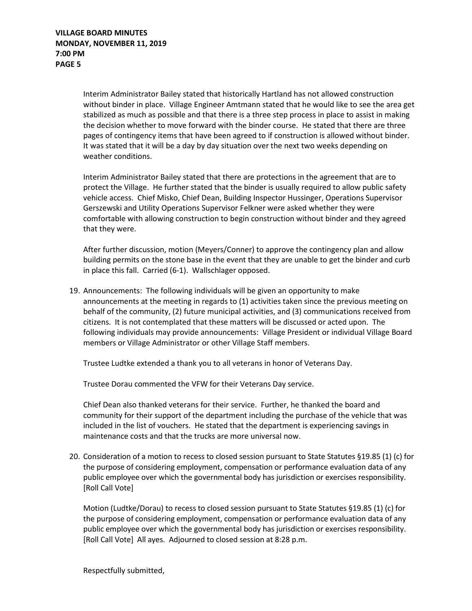Interim Administrator Bailey stated that historically Hartland has not allowed construction without binder in place. Village Engineer Amtmann stated that he would like to see the area get stabilized as much as possible and that there is a three step process in place to assist in making the decision whether to move forward with the binder course. He stated that there are three pages of contingency items that have been agreed to if construction is allowed without binder. It was stated that it will be a day by day situation over the next two weeks depending on weather conditions.

Interim Administrator Bailey stated that there are protections in the agreement that are to protect the Village. He further stated that the binder is usually required to allow public safety vehicle access. Chief Misko, Chief Dean, Building Inspector Hussinger, Operations Supervisor Gerszewski and Utility Operations Supervisor Felkner were asked whether they were comfortable with allowing construction to begin construction without binder and they agreed that they were.

After further discussion, motion (Meyers/Conner) to approve the contingency plan and allow building permits on the stone base in the event that they are unable to get the binder and curb in place this fall. Carried (6-1). Wallschlager opposed.

19. Announcements: The following individuals will be given an opportunity to make announcements at the meeting in regards to (1) activities taken since the previous meeting on behalf of the community, (2) future municipal activities, and (3) communications received from citizens. It is not contemplated that these matters will be discussed or acted upon. The following individuals may provide announcements: Village President or individual Village Board members or Village Administrator or other Village Staff members.

Trustee Ludtke extended a thank you to all veterans in honor of Veterans Day.

Trustee Dorau commented the VFW for their Veterans Day service.

Chief Dean also thanked veterans for their service. Further, he thanked the board and community for their support of the department including the purchase of the vehicle that was included in the list of vouchers. He stated that the department is experiencing savings in maintenance costs and that the trucks are more universal now.

20. Consideration of a motion to recess to closed session pursuant to State Statutes §19.85 (1) (c) for the purpose of considering employment, compensation or performance evaluation data of any public employee over which the governmental body has jurisdiction or exercises responsibility. [Roll Call Vote]

Motion (Ludtke/Dorau) to recess to closed session pursuant to State Statutes §19.85 (1) (c) for the purpose of considering employment, compensation or performance evaluation data of any public employee over which the governmental body has jurisdiction or exercises responsibility. [Roll Call Vote] All ayes. Adjourned to closed session at 8:28 p.m.

Respectfully submitted,